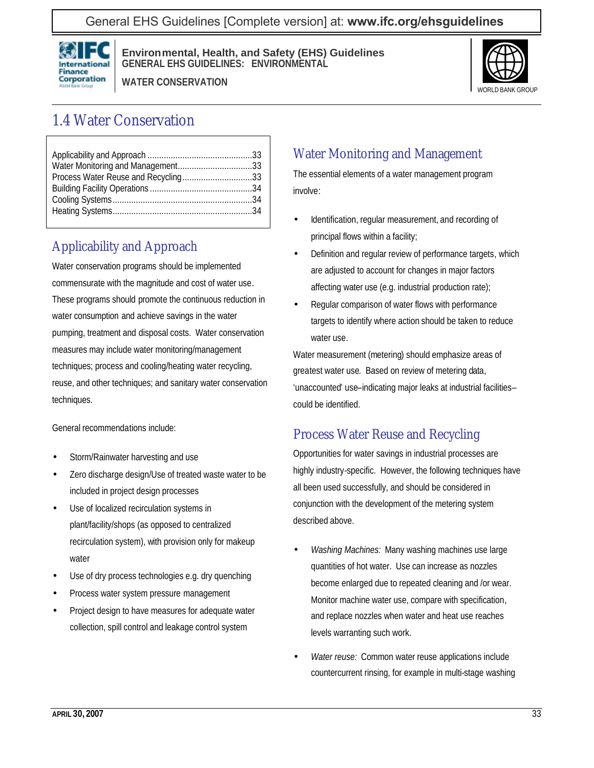General EHS Guidelines [Complete version] at: **[www.ifc.org/ehsguidelines](http://www.ifc.org/ehsguidelines)**



**Environmental, Health, and Safety (EHS) Guidelines GENERAL EHS GUIDELINES: ENVIRONMENTAL**

**WATER CONSERVATION**



# 1.4 Water Conservation

| Process Water Reuse and Recycling33 |  |
|-------------------------------------|--|
|                                     |  |
|                                     |  |
|                                     |  |

## Applicability and Approach

Water conservation programs should be implemented commensurate with the magnitude and cost of water use. These programs should promote the continuous reduction in water consumption and achieve savings in the water pumping, treatment and disposal costs. Water conservation measures may include water monitoring/management techniques; process and cooling/heating water recycling, reuse, and other techniques; and sanitary water conservation techniques.

General recommendations include:

- Storm/Rainwater harvesting and use
- Zero discharge design/Use of treated waste water to be included in project design processes
- Use of localized recirculation systems in plant/facility/shops (as opposed to centralized recirculation system), with provision only for makeup water
- Use of dry process technologies e.g. dry quenching
- Process water system pressure management
- Project design to have measures for adequate water collection, spill control and leakage control system

### Water Monitoring and Management

The essential elements of a water management program involve:

- Identification, regular measurement, and recording of principal flows within a facility;
- Definition and regular review of performance targets, which are adjusted to account for changes in major factors affecting water use (e.g. industrial production rate);
- Regular comparison of water flows with performance targets to identify where action should be taken to reduce water use.

Water measurement (metering) should emphasize areas of greatest water use. Based on review of metering data, 'unaccounted' use–indicating major leaks at industrial facilities– could be identified.

### Process Water Reuse and Recycling

Opportunities for water savings in industrial processes are highly industry-specific. However, the following techniques have all been used successfully, and should be considered in conjunction with the development of the metering system described above.

- *Washing Machines:* Many washing machines use large quantities of hot water. Use can increase as nozzles become enlarged due to repeated cleaning and /or wear. Monitor machine water use, compare with specification, and replace nozzles when water and heat use reaches levels warranting such work.
- *Water reuse:* Common water reuse applications include countercurrent rinsing, for example in multi-stage washing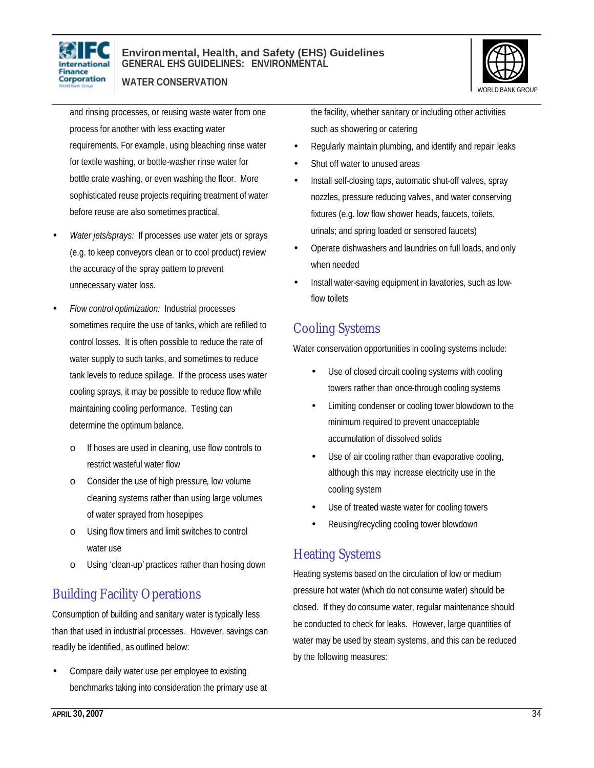

#### **Environmental, Health, and Safety (EHS) Guidelines GENERAL EHS GUIDELINES: ENVIRONMENTAL**

**WATER CONSERVATION**



and rinsing processes, or reusing waste water from one process for another with less exacting water requirements. For example, using bleaching rinse water for textile washing, or bottle-washer rinse water for bottle crate washing, or even washing the floor. More sophisticated reuse projects requiring treatment of water before reuse are also sometimes practical.

- *Water jets/sprays:* If processes use water jets or sprays (e.g. to keep conveyors clean or to cool product) review the accuracy of the spray pattern to prevent unnecessary water loss.
- *Flow control optimization:* Industrial processes sometimes require the use of tanks, which are refilled to control losses. It is often possible to reduce the rate of water supply to such tanks, and sometimes to reduce tank levels to reduce spillage. If the process uses water cooling sprays, it may be possible to reduce flow while maintaining cooling performance. Testing can determine the optimum balance.
	- o If hoses are used in cleaning, use flow controls to restrict wasteful water flow
	- o Consider the use of high pressure, low volume cleaning systems rather than using large volumes of water sprayed from hosepipes
	- o Using flow timers and limit switches to control water use
	- o Using 'clean-up' practices rather than hosing down

## Building Facility Operations

Consumption of building and sanitary water is typically less than that used in industrial processes. However, savings can readily be identified, as outlined below:

• Compare daily water use per employee to existing benchmarks taking into consideration the primary use at the facility, whether sanitary or including other activities such as showering or catering

- Regularly maintain plumbing, and identify and repair leaks
- Shut off water to unused areas
- Install self-closing taps, automatic shut-off valves, spray nozzles, pressure reducing valves, and water conserving fixtures (e.g. low flow shower heads, faucets, toilets, urinals; and spring loaded or sensored faucets)
- Operate dishwashers and laundries on full loads, and only when needed
- Install water-saving equipment in lavatories, such as lowflow toilets

## Cooling Systems

Water conservation opportunities in cooling systems include:

- Use of closed circuit cooling systems with cooling towers rather than once-through cooling systems
- Limiting condenser or cooling tower blowdown to the minimum required to prevent unacceptable accumulation of dissolved solids
- Use of air cooling rather than evaporative cooling, although this may increase electricity use in the cooling system
- Use of treated waste water for cooling towers
- Reusing/recycling cooling tower blowdown

## Heating Systems

Heating systems based on the circulation of low or medium pressure hot water (which do not consume water) should be closed. If they do consume water, regular maintenance should be conducted to check for leaks. However, large quantities of water may be used by steam systems, and this can be reduced by the following measures: